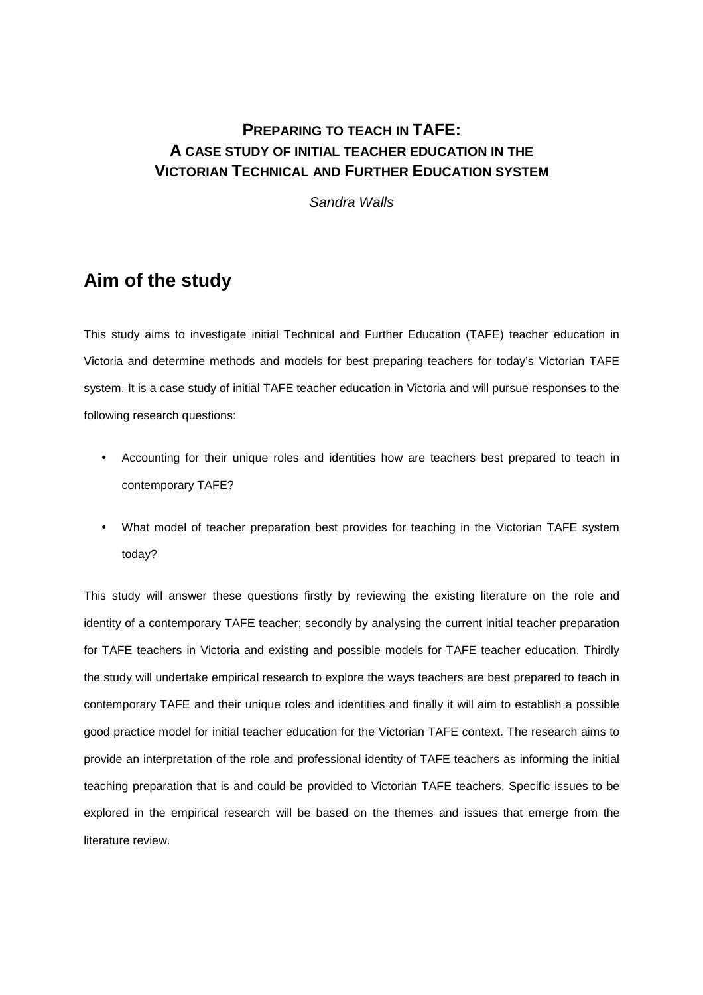# **PREPARING TO TEACH IN TAFE: A CASE STUDY OF INITIAL TEACHER EDUCATION IN THE VICTORIAN TECHNICAL AND FURTHER EDUCATION SYSTEM**

Sandra Walls

# **Aim of the study**

This study aims to investigate initial Technical and Further Education (TAFE) teacher education in Victoria and determine methods and models for best preparing teachers for today's Victorian TAFE system. It is a case study of initial TAFE teacher education in Victoria and will pursue responses to the following research questions:

- Accounting for their unique roles and identities how are teachers best prepared to teach in contemporary TAFE?
- What model of teacher preparation best provides for teaching in the Victorian TAFE system today?

This study will answer these questions firstly by reviewing the existing literature on the role and identity of a contemporary TAFE teacher; secondly by analysing the current initial teacher preparation for TAFE teachers in Victoria and existing and possible models for TAFE teacher education. Thirdly the study will undertake empirical research to explore the ways teachers are best prepared to teach in contemporary TAFE and their unique roles and identities and finally it will aim to establish a possible good practice model for initial teacher education for the Victorian TAFE context. The research aims to provide an interpretation of the role and professional identity of TAFE teachers as informing the initial teaching preparation that is and could be provided to Victorian TAFE teachers. Specific issues to be explored in the empirical research will be based on the themes and issues that emerge from the literature review.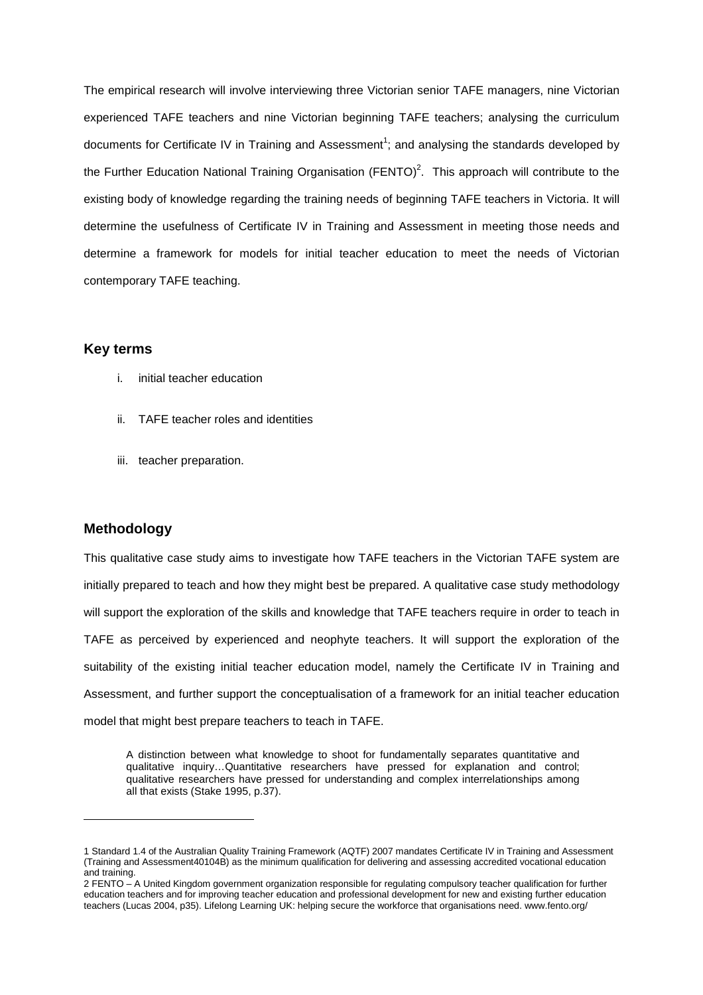The empirical research will involve interviewing three Victorian senior TAFE managers, nine Victorian experienced TAFE teachers and nine Victorian beginning TAFE teachers; analysing the curriculum documents for Certificate IV in Training and Assessment<sup>1</sup>; and analysing the standards developed by the Further Education National Training Organisation (FENTO)<sup>2</sup>. This approach will contribute to the existing body of knowledge regarding the training needs of beginning TAFE teachers in Victoria. It will determine the usefulness of Certificate IV in Training and Assessment in meeting those needs and determine a framework for models for initial teacher education to meet the needs of Victorian contemporary TAFE teaching.

#### **Key terms**

- i. initial teacher education
- ii. TAFE teacher roles and identities
- iii. teacher preparation.

#### **Methodology**

l

This qualitative case study aims to investigate how TAFE teachers in the Victorian TAFE system are initially prepared to teach and how they might best be prepared. A qualitative case study methodology will support the exploration of the skills and knowledge that TAFE teachers require in order to teach in TAFE as perceived by experienced and neophyte teachers. It will support the exploration of the suitability of the existing initial teacher education model, namely the Certificate IV in Training and Assessment, and further support the conceptualisation of a framework for an initial teacher education model that might best prepare teachers to teach in TAFE.

A distinction between what knowledge to shoot for fundamentally separates quantitative and qualitative inquiry…Quantitative researchers have pressed for explanation and control; qualitative researchers have pressed for understanding and complex interrelationships among all that exists (Stake 1995, p.37).

<sup>1</sup> Standard 1.4 of the Australian Quality Training Framework (AQTF) 2007 mandates Certificate IV in Training and Assessment (Training and Assessment40104B) as the minimum qualification for delivering and assessing accredited vocational education and training.

<sup>2</sup> FENTO – A United Kingdom government organization responsible for regulating compulsory teacher qualification for further education teachers and for improving teacher education and professional development for new and existing further education teachers (Lucas 2004, p35). Lifelong Learning UK: helping secure the workforce that organisations need. www.fento.org/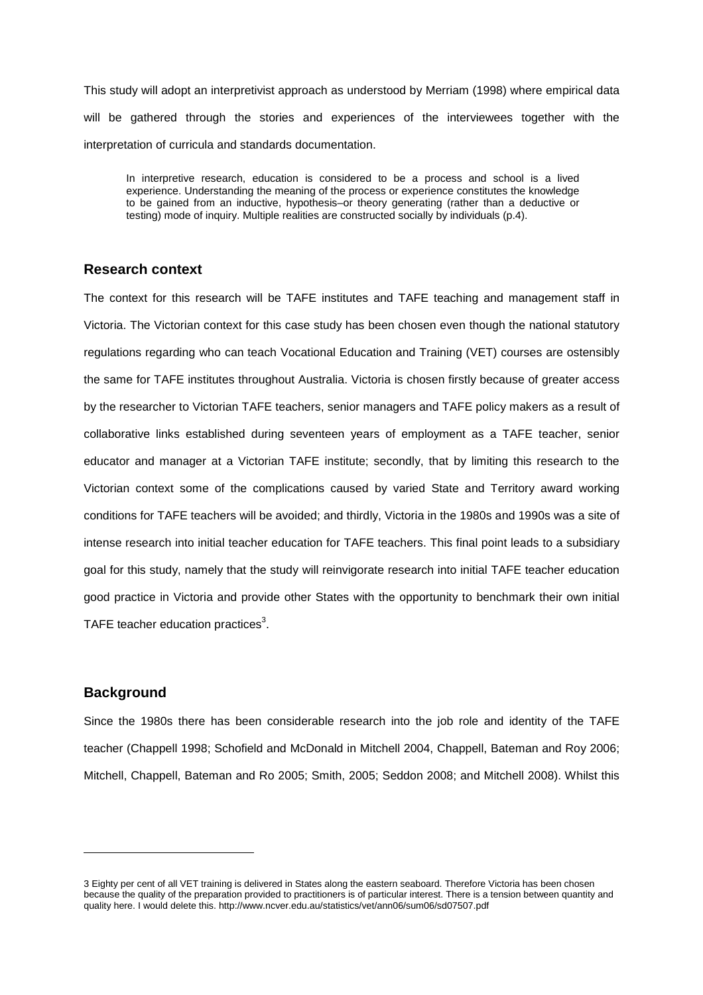This study will adopt an interpretivist approach as understood by Merriam (1998) where empirical data will be gathered through the stories and experiences of the interviewees together with the interpretation of curricula and standards documentation.

In interpretive research, education is considered to be a process and school is a lived experience. Understanding the meaning of the process or experience constitutes the knowledge to be gained from an inductive, hypothesis–or theory generating (rather than a deductive or testing) mode of inquiry. Multiple realities are constructed socially by individuals (p.4).

#### **Research context**

The context for this research will be TAFE institutes and TAFE teaching and management staff in Victoria. The Victorian context for this case study has been chosen even though the national statutory regulations regarding who can teach Vocational Education and Training (VET) courses are ostensibly the same for TAFE institutes throughout Australia. Victoria is chosen firstly because of greater access by the researcher to Victorian TAFE teachers, senior managers and TAFE policy makers as a result of collaborative links established during seventeen years of employment as a TAFE teacher, senior educator and manager at a Victorian TAFE institute; secondly, that by limiting this research to the Victorian context some of the complications caused by varied State and Territory award working conditions for TAFE teachers will be avoided; and thirdly, Victoria in the 1980s and 1990s was a site of intense research into initial teacher education for TAFE teachers. This final point leads to a subsidiary goal for this study, namely that the study will reinvigorate research into initial TAFE teacher education good practice in Victoria and provide other States with the opportunity to benchmark their own initial TAFE teacher education practices<sup>3</sup>.

#### **Background**

l

Since the 1980s there has been considerable research into the job role and identity of the TAFE teacher (Chappell 1998; Schofield and McDonald in Mitchell 2004, Chappell, Bateman and Roy 2006; Mitchell, Chappell, Bateman and Ro 2005; Smith, 2005; Seddon 2008; and Mitchell 2008). Whilst this

<sup>3</sup> Eighty per cent of all VET training is delivered in States along the eastern seaboard. Therefore Victoria has been chosen because the quality of the preparation provided to practitioners is of particular interest. There is a tension between quantity and quality here. I would delete this. http://www.ncver.edu.au/statistics/vet/ann06/sum06/sd07507.pdf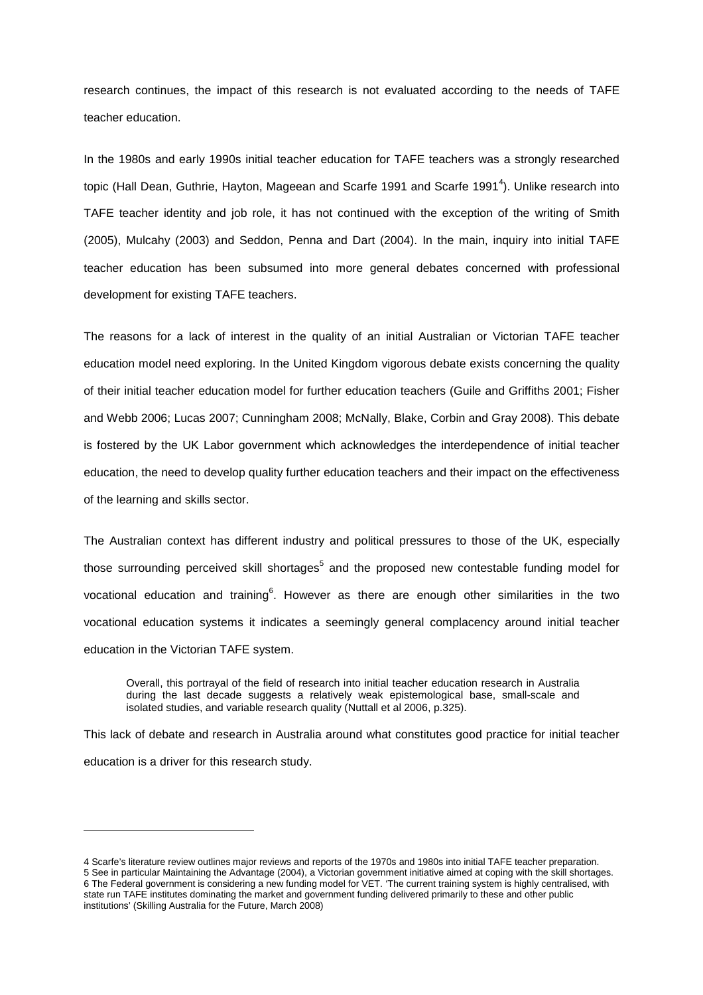research continues, the impact of this research is not evaluated according to the needs of TAFE teacher education.

In the 1980s and early 1990s initial teacher education for TAFE teachers was a strongly researched topic (Hall Dean, Guthrie, Hayton, Mageean and Scarfe 1991 and Scarfe 1991<sup>4</sup>). Unlike research into TAFE teacher identity and job role, it has not continued with the exception of the writing of Smith (2005), Mulcahy (2003) and Seddon, Penna and Dart (2004). In the main, inquiry into initial TAFE teacher education has been subsumed into more general debates concerned with professional development for existing TAFE teachers.

The reasons for a lack of interest in the quality of an initial Australian or Victorian TAFE teacher education model need exploring. In the United Kingdom vigorous debate exists concerning the quality of their initial teacher education model for further education teachers (Guile and Griffiths 2001; Fisher and Webb 2006; Lucas 2007; Cunningham 2008; McNally, Blake, Corbin and Gray 2008). This debate is fostered by the UK Labor government which acknowledges the interdependence of initial teacher education, the need to develop quality further education teachers and their impact on the effectiveness of the learning and skills sector.

The Australian context has different industry and political pressures to those of the UK, especially those surrounding perceived skill shortages<sup>5</sup> and the proposed new contestable funding model for vocational education and training<sup>6</sup>. However as there are enough other similarities in the two vocational education systems it indicates a seemingly general complacency around initial teacher education in the Victorian TAFE system.

Overall, this portrayal of the field of research into initial teacher education research in Australia during the last decade suggests a relatively weak epistemological base, small-scale and isolated studies, and variable research quality (Nuttall et al 2006, p.325).

This lack of debate and research in Australia around what constitutes good practice for initial teacher education is a driver for this research study.

l

<sup>4</sup> Scarfe's literature review outlines major reviews and reports of the 1970s and 1980s into initial TAFE teacher preparation. 5 See in particular Maintaining the Advantage (2004), a Victorian government initiative aimed at coping with the skill shortages. 6 The Federal government is considering a new funding model for VET. 'The current training system is highly centralised, with state run TAFE institutes dominating the market and government funding delivered primarily to these and other public institutions' (Skilling Australia for the Future, March 2008)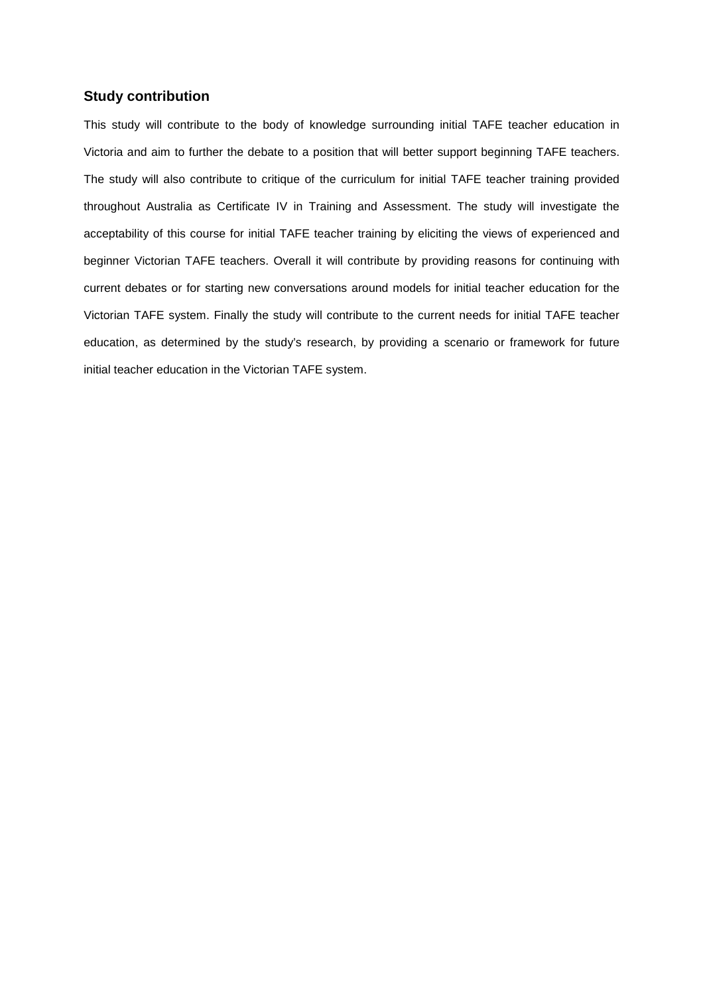#### **Study contribution**

This study will contribute to the body of knowledge surrounding initial TAFE teacher education in Victoria and aim to further the debate to a position that will better support beginning TAFE teachers. The study will also contribute to critique of the curriculum for initial TAFE teacher training provided throughout Australia as Certificate IV in Training and Assessment. The study will investigate the acceptability of this course for initial TAFE teacher training by eliciting the views of experienced and beginner Victorian TAFE teachers. Overall it will contribute by providing reasons for continuing with current debates or for starting new conversations around models for initial teacher education for the Victorian TAFE system. Finally the study will contribute to the current needs for initial TAFE teacher education, as determined by the study's research, by providing a scenario or framework for future initial teacher education in the Victorian TAFE system.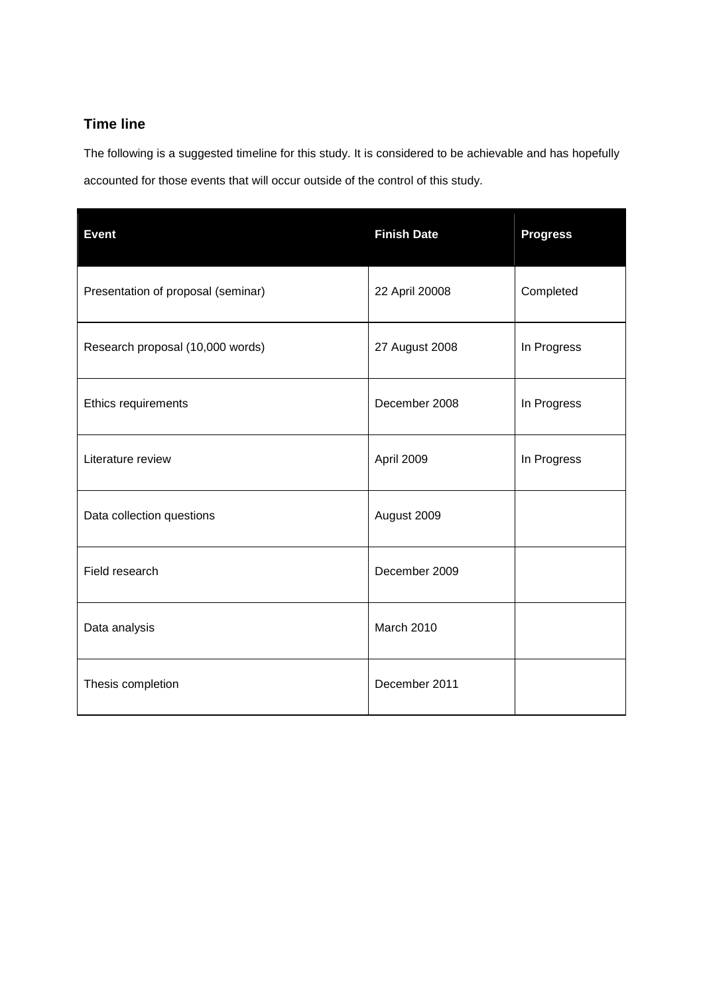### **Time line**

The following is a suggested timeline for this study. It is considered to be achievable and has hopefully accounted for those events that will occur outside of the control of this study.

| <b>Event</b>                       | <b>Finish Date</b> | <b>Progress</b> |
|------------------------------------|--------------------|-----------------|
| Presentation of proposal (seminar) | 22 April 20008     | Completed       |
| Research proposal (10,000 words)   | 27 August 2008     | In Progress     |
| Ethics requirements                | December 2008      | In Progress     |
| Literature review                  | April 2009         | In Progress     |
| Data collection questions          | August 2009        |                 |
| Field research                     | December 2009      |                 |
| Data analysis                      | <b>March 2010</b>  |                 |
| Thesis completion                  | December 2011      |                 |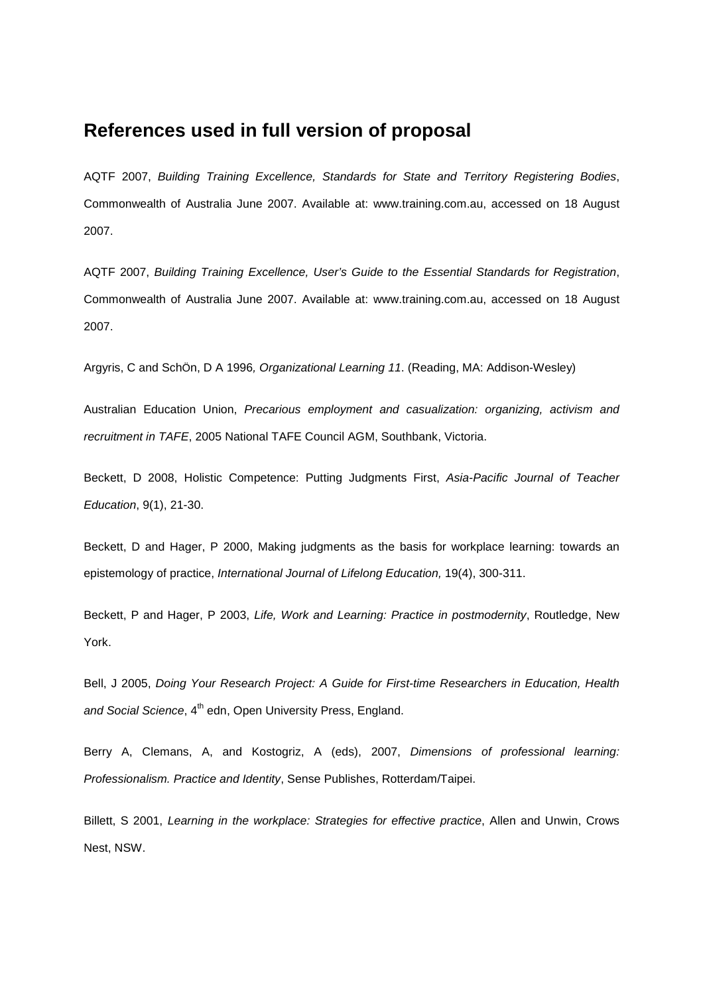## **References used in full version of proposal**

AQTF 2007, Building Training Excellence, Standards for State and Territory Registering Bodies, Commonwealth of Australia June 2007. Available at: www.training.com.au, accessed on 18 August 2007.

AQTF 2007, Building Training Excellence, User's Guide to the Essential Standards for Registration, Commonwealth of Australia June 2007. Available at: www.training.com.au, accessed on 18 August 2007.

Argyris, C and SchÖn, D A 1996, Organizational Learning 11. (Reading, MA: Addison-Wesley)

Australian Education Union, Precarious employment and casualization: organizing, activism and recruitment in TAFE, 2005 National TAFE Council AGM, Southbank, Victoria.

Beckett, D 2008, Holistic Competence: Putting Judgments First, Asia-Pacific Journal of Teacher Education, 9(1), 21-30.

Beckett, D and Hager, P 2000, Making judgments as the basis for workplace learning: towards an epistemology of practice, International Journal of Lifelong Education, 19(4), 300-311.

Beckett, P and Hager, P 2003, Life, Work and Learning: Practice in postmodernity, Routledge, New York.

Bell, J 2005, Doing Your Research Project: A Guide for First-time Researchers in Education, Health and Social Science, 4<sup>th</sup> edn, Open University Press, England.

Berry A, Clemans, A, and Kostogriz, A (eds), 2007, Dimensions of professional learning: Professionalism. Practice and Identity, Sense Publishes, Rotterdam/Taipei.

Billett, S 2001, Learning in the workplace: Strategies for effective practice, Allen and Unwin, Crows Nest, NSW.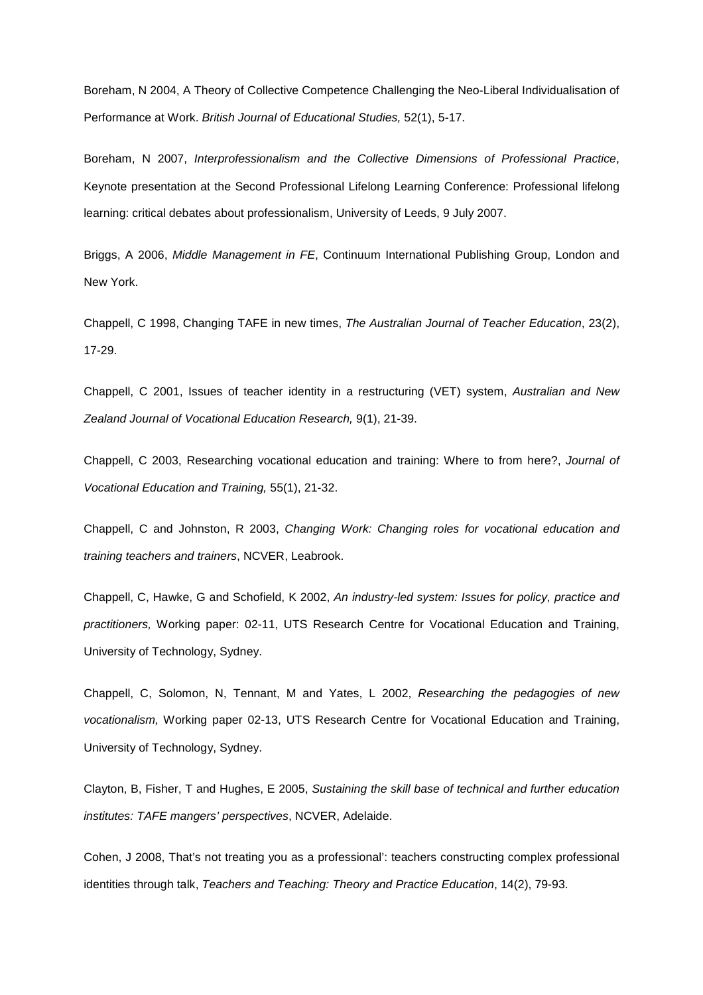Boreham, N 2004, A Theory of Collective Competence Challenging the Neo-Liberal Individualisation of Performance at Work. British Journal of Educational Studies, 52(1), 5-17.

Boreham, N 2007, Interprofessionalism and the Collective Dimensions of Professional Practice, Keynote presentation at the Second Professional Lifelong Learning Conference: Professional lifelong learning: critical debates about professionalism, University of Leeds, 9 July 2007.

Briggs, A 2006, Middle Management in FE, Continuum International Publishing Group, London and New York.

Chappell, C 1998, Changing TAFE in new times, The Australian Journal of Teacher Education, 23(2), 17-29.

Chappell, C 2001, Issues of teacher identity in a restructuring (VET) system, Australian and New Zealand Journal of Vocational Education Research, 9(1), 21-39.

Chappell, C 2003, Researching vocational education and training: Where to from here?, Journal of Vocational Education and Training, 55(1), 21-32.

Chappell, C and Johnston, R 2003, Changing Work: Changing roles for vocational education and training teachers and trainers, NCVER, Leabrook.

Chappell, C, Hawke, G and Schofield, K 2002, An industry-led system: Issues for policy, practice and practitioners, Working paper: 02-11, UTS Research Centre for Vocational Education and Training, University of Technology, Sydney.

Chappell, C, Solomon, N, Tennant, M and Yates, L 2002, Researching the pedagogies of new vocationalism, Working paper 02-13, UTS Research Centre for Vocational Education and Training, University of Technology, Sydney.

Clayton, B, Fisher, T and Hughes, E 2005, Sustaining the skill base of technical and further education institutes: TAFE mangers' perspectives, NCVER, Adelaide.

Cohen, J 2008, That's not treating you as a professional': teachers constructing complex professional identities through talk, Teachers and Teaching: Theory and Practice Education, 14(2), 79-93.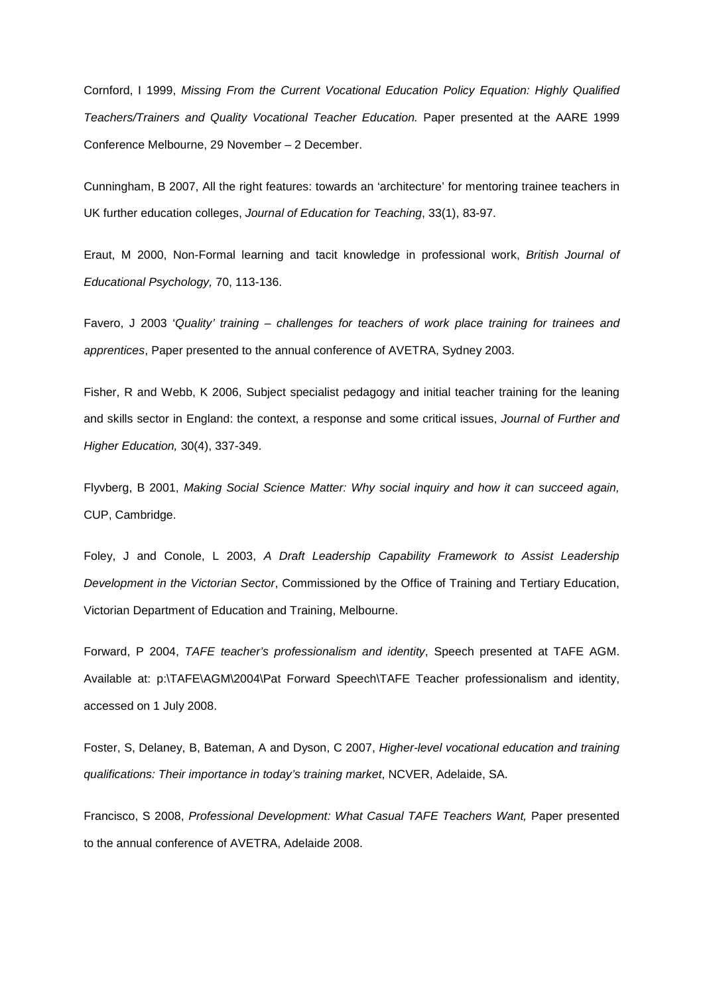Cornford, I 1999, Missing From the Current Vocational Education Policy Equation: Highly Qualified Teachers/Trainers and Quality Vocational Teacher Education. Paper presented at the AARE 1999 Conference Melbourne, 29 November – 2 December.

Cunningham, B 2007, All the right features: towards an 'architecture' for mentoring trainee teachers in UK further education colleges, Journal of Education for Teaching, 33(1), 83-97.

Eraut, M 2000, Non-Formal learning and tacit knowledge in professional work, British Journal of Educational Psychology, 70, 113-136.

Favero, J 2003 'Quality' training – challenges for teachers of work place training for trainees and apprentices, Paper presented to the annual conference of AVETRA, Sydney 2003.

Fisher, R and Webb, K 2006, Subject specialist pedagogy and initial teacher training for the leaning and skills sector in England: the context, a response and some critical issues, Journal of Further and Higher Education, 30(4), 337-349.

Flyvberg, B 2001, Making Social Science Matter: Why social inquiry and how it can succeed again, CUP, Cambridge.

Foley, J and Conole, L 2003, A Draft Leadership Capability Framework to Assist Leadership Development in the Victorian Sector, Commissioned by the Office of Training and Tertiary Education, Victorian Department of Education and Training, Melbourne.

Forward, P 2004, TAFE teacher's professionalism and identity, Speech presented at TAFE AGM. Available at: p:\TAFE\AGM\2004\Pat Forward Speech\TAFE Teacher professionalism and identity, accessed on 1 July 2008.

Foster, S, Delaney, B, Bateman, A and Dyson, C 2007, Higher-level vocational education and training qualifications: Their importance in today's training market, NCVER, Adelaide, SA.

Francisco, S 2008, Professional Development: What Casual TAFE Teachers Want, Paper presented to the annual conference of AVETRA, Adelaide 2008.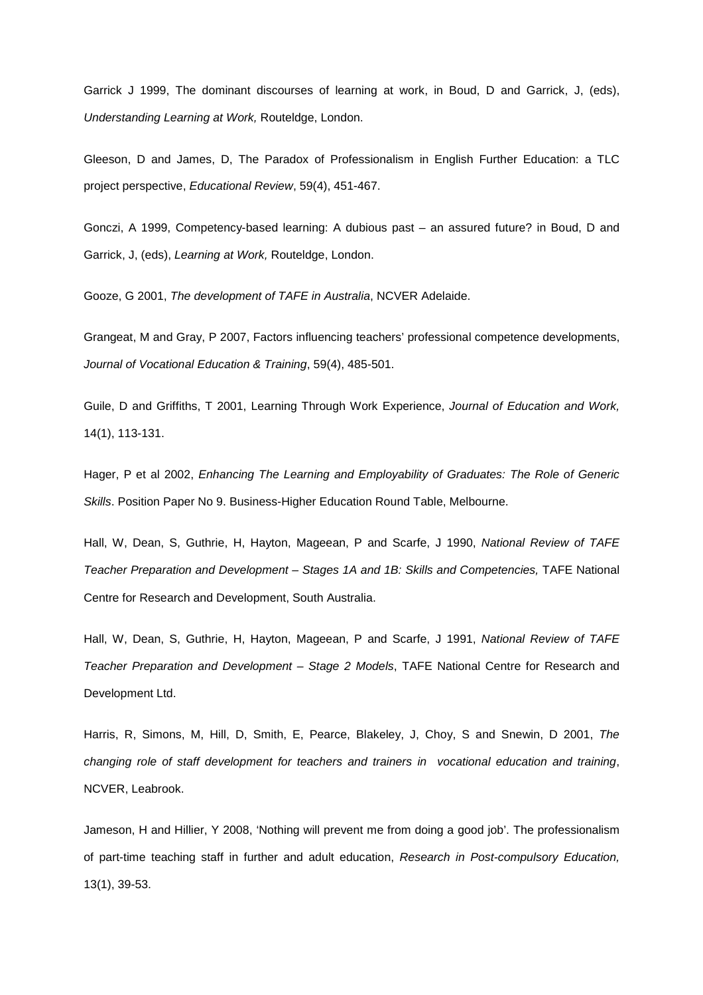Garrick J 1999, The dominant discourses of learning at work, in Boud, D and Garrick, J, (eds), Understanding Learning at Work, Routeldge, London.

Gleeson, D and James, D, The Paradox of Professionalism in English Further Education: a TLC project perspective, Educational Review, 59(4), 451-467.

Gonczi, A 1999, Competency-based learning: A dubious past – an assured future? in Boud, D and Garrick, J, (eds), Learning at Work, Routeldge, London.

Gooze, G 2001, The development of TAFE in Australia, NCVER Adelaide.

Grangeat, M and Gray, P 2007, Factors influencing teachers' professional competence developments, Journal of Vocational Education & Training, 59(4), 485-501.

Guile, D and Griffiths, T 2001, Learning Through Work Experience, Journal of Education and Work, 14(1), 113-131.

Hager, P et al 2002, Enhancing The Learning and Employability of Graduates: The Role of Generic Skills. Position Paper No 9. Business-Higher Education Round Table, Melbourne.

Hall, W, Dean, S, Guthrie, H, Hayton, Mageean, P and Scarfe, J 1990, National Review of TAFE Teacher Preparation and Development – Stages 1A and 1B: Skills and Competencies, TAFE National Centre for Research and Development, South Australia.

Hall, W, Dean, S, Guthrie, H, Hayton, Mageean, P and Scarfe, J 1991, National Review of TAFE Teacher Preparation and Development – Stage 2 Models, TAFE National Centre for Research and Development Ltd.

Harris, R, Simons, M, Hill, D, Smith, E, Pearce, Blakeley, J, Choy, S and Snewin, D 2001, The changing role of staff development for teachers and trainers in vocational education and training, NCVER, Leabrook.

Jameson, H and Hillier, Y 2008, 'Nothing will prevent me from doing a good job'. The professionalism of part-time teaching staff in further and adult education, Research in Post-compulsory Education, 13(1), 39-53.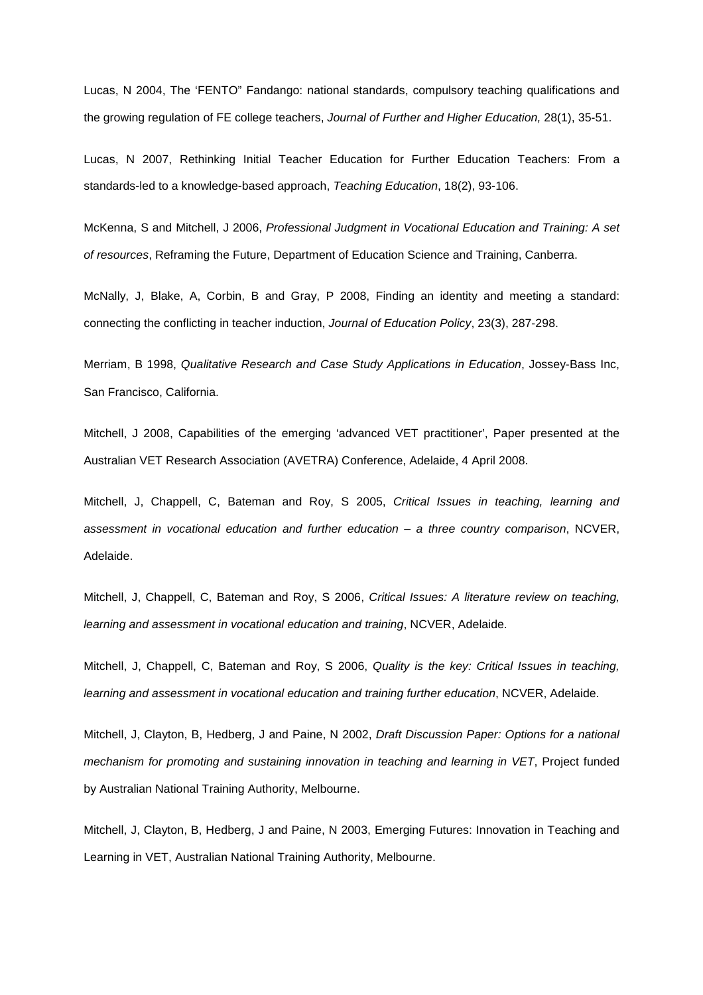Lucas, N 2004, The 'FENTO" Fandango: national standards, compulsory teaching qualifications and the growing regulation of FE college teachers, Journal of Further and Higher Education, 28(1), 35-51.

Lucas, N 2007, Rethinking Initial Teacher Education for Further Education Teachers: From a standards-led to a knowledge-based approach, Teaching Education, 18(2), 93-106.

McKenna, S and Mitchell, J 2006, Professional Judgment in Vocational Education and Training: A set of resources, Reframing the Future, Department of Education Science and Training, Canberra.

McNally, J, Blake, A, Corbin, B and Gray, P 2008, Finding an identity and meeting a standard: connecting the conflicting in teacher induction, Journal of Education Policy, 23(3), 287-298.

Merriam, B 1998, Qualitative Research and Case Study Applications in Education, Jossey-Bass Inc, San Francisco, California.

Mitchell, J 2008, Capabilities of the emerging 'advanced VET practitioner', Paper presented at the Australian VET Research Association (AVETRA) Conference, Adelaide, 4 April 2008.

Mitchell, J, Chappell, C, Bateman and Roy, S 2005, Critical Issues in teaching, learning and assessment in vocational education and further education – a three country comparison, NCVER, Adelaide.

Mitchell, J, Chappell, C, Bateman and Roy, S 2006, Critical Issues: A literature review on teaching, learning and assessment in vocational education and training, NCVER, Adelaide.

Mitchell, J, Chappell, C, Bateman and Roy, S 2006, Quality is the key: Critical Issues in teaching, learning and assessment in vocational education and training further education, NCVER, Adelaide.

Mitchell, J, Clayton, B, Hedberg, J and Paine, N 2002, Draft Discussion Paper: Options for a national mechanism for promoting and sustaining innovation in teaching and learning in VET, Project funded by Australian National Training Authority, Melbourne.

Mitchell, J, Clayton, B, Hedberg, J and Paine, N 2003, Emerging Futures: Innovation in Teaching and Learning in VET, Australian National Training Authority, Melbourne.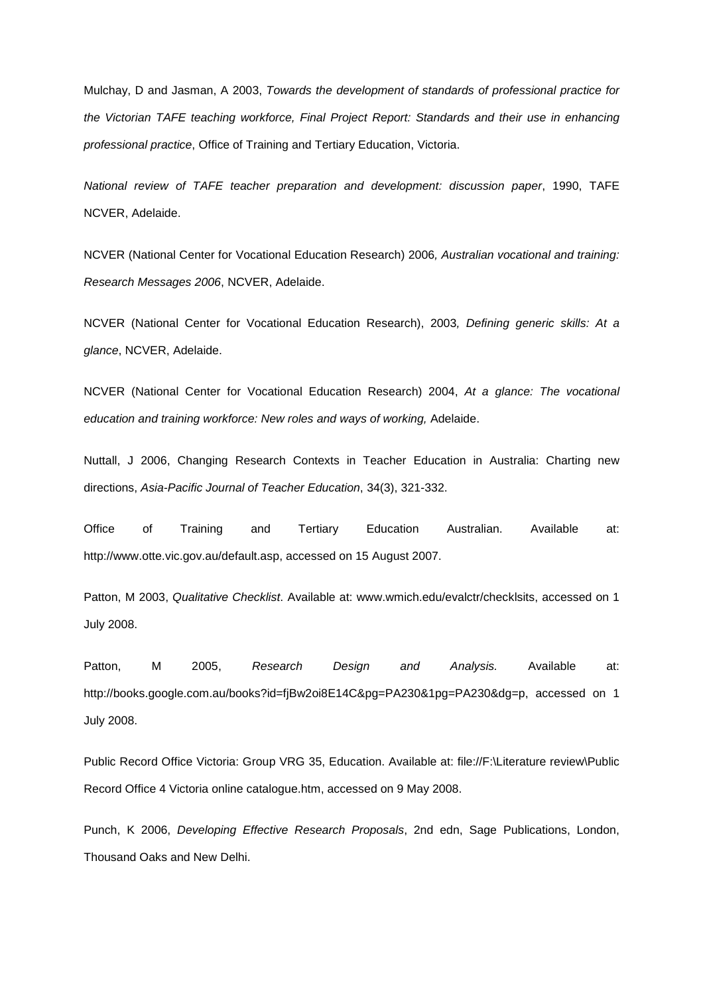Mulchay, D and Jasman, A 2003, Towards the development of standards of professional practice for the Victorian TAFE teaching workforce, Final Project Report: Standards and their use in enhancing professional practice, Office of Training and Tertiary Education, Victoria.

National review of TAFE teacher preparation and development: discussion paper, 1990, TAFE NCVER, Adelaide.

NCVER (National Center for Vocational Education Research) 2006, Australian vocational and training: Research Messages 2006, NCVER, Adelaide.

NCVER (National Center for Vocational Education Research), 2003, Defining generic skills: At a glance, NCVER, Adelaide.

NCVER (National Center for Vocational Education Research) 2004, At a glance: The vocational education and training workforce: New roles and ways of working, Adelaide.

Nuttall, J 2006, Changing Research Contexts in Teacher Education in Australia: Charting new directions, Asia-Pacific Journal of Teacher Education, 34(3), 321-332.

Office of Training and Tertiary Education Australian. Available at: http://www.otte.vic.gov.au/default.asp, accessed on 15 August 2007.

Patton, M 2003, Qualitative Checklist. Available at: www.wmich.edu/evalctr/checklsits, accessed on 1 July 2008.

Patton, M 2005, Research Design and Analysis. Available at: http://books.google.com.au/books?id=fjBw2oi8E14C&pg=PA230&1pg=PA230&dg=p, accessed on 1 July 2008.

Public Record Office Victoria: Group VRG 35, Education. Available at: file://F:\Literature review\Public Record Office 4 Victoria online catalogue.htm, accessed on 9 May 2008.

Punch, K 2006, Developing Effective Research Proposals, 2nd edn, Sage Publications, London, Thousand Oaks and New Delhi.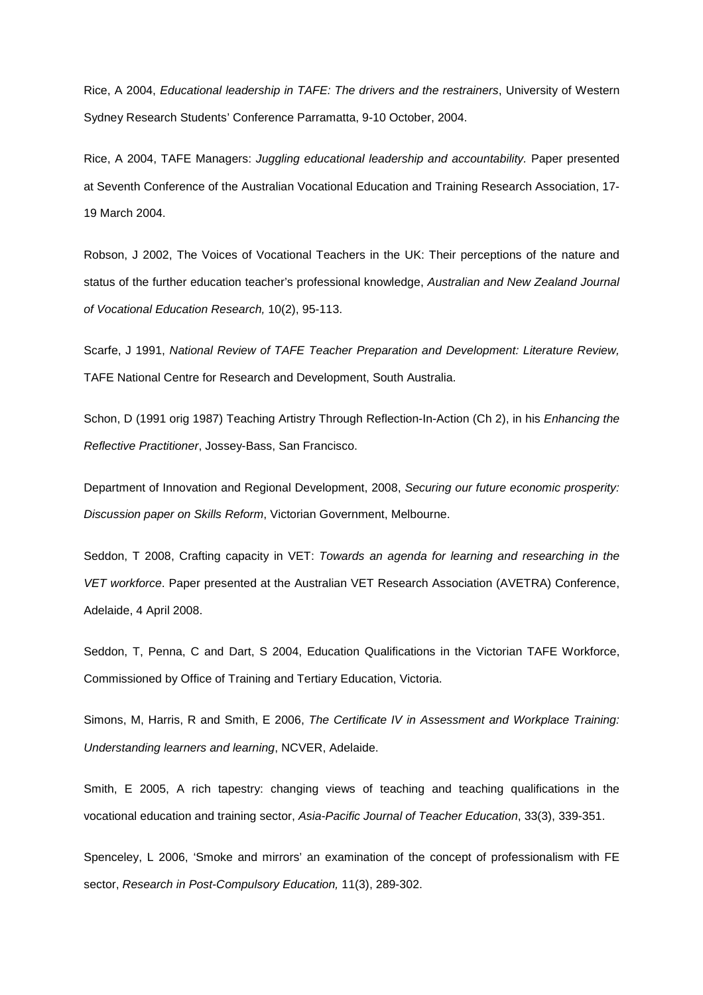Rice, A 2004, Educational leadership in TAFE: The drivers and the restrainers, University of Western Sydney Research Students' Conference Parramatta, 9-10 October, 2004.

Rice, A 2004, TAFE Managers: Juggling educational leadership and accountability. Paper presented at Seventh Conference of the Australian Vocational Education and Training Research Association, 17- 19 March 2004.

Robson, J 2002, The Voices of Vocational Teachers in the UK: Their perceptions of the nature and status of the further education teacher's professional knowledge, Australian and New Zealand Journal of Vocational Education Research, 10(2), 95-113.

Scarfe, J 1991, National Review of TAFE Teacher Preparation and Development: Literature Review, TAFE National Centre for Research and Development, South Australia.

Schon, D (1991 orig 1987) Teaching Artistry Through Reflection-In-Action (Ch 2), in his Enhancing the Reflective Practitioner, Jossey-Bass, San Francisco.

Department of Innovation and Regional Development, 2008, Securing our future economic prosperity: Discussion paper on Skills Reform, Victorian Government, Melbourne.

Seddon, T 2008, Crafting capacity in VET: Towards an agenda for learning and researching in the VET workforce. Paper presented at the Australian VET Research Association (AVETRA) Conference, Adelaide, 4 April 2008.

Seddon, T, Penna, C and Dart, S 2004, Education Qualifications in the Victorian TAFE Workforce, Commissioned by Office of Training and Tertiary Education, Victoria.

Simons, M, Harris, R and Smith, E 2006, The Certificate IV in Assessment and Workplace Training: Understanding learners and learning, NCVER, Adelaide.

Smith, E 2005, A rich tapestry: changing views of teaching and teaching qualifications in the vocational education and training sector, Asia-Pacific Journal of Teacher Education, 33(3), 339-351.

Spenceley, L 2006, 'Smoke and mirrors' an examination of the concept of professionalism with FE sector, Research in Post-Compulsory Education, 11(3), 289-302.